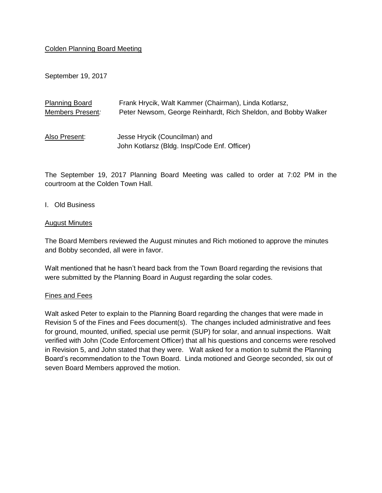# Colden Planning Board Meeting

September 19, 2017

| <b>Planning Board</b> | Frank Hrycik, Walt Kammer (Chairman), Linda Kotlarsz,                         |
|-----------------------|-------------------------------------------------------------------------------|
| Members Present:      | Peter Newsom, George Reinhardt, Rich Sheldon, and Bobby Walker                |
| Also Present:         | Jesse Hrycik (Councilman) and<br>John Kotlarsz (Bldg. Insp/Code Enf. Officer) |

The September 19, 2017 Planning Board Meeting was called to order at 7:02 PM in the courtroom at the Colden Town Hall.

I. Old Business

#### August Minutes

The Board Members reviewed the August minutes and Rich motioned to approve the minutes and Bobby seconded, all were in favor.

Walt mentioned that he hasn't heard back from the Town Board regarding the revisions that were submitted by the Planning Board in August regarding the solar codes.

#### Fines and Fees

Walt asked Peter to explain to the Planning Board regarding the changes that were made in Revision 5 of the Fines and Fees document(s). The changes included administrative and fees for ground, mounted, unified, special use permit (SUP) for solar, and annual inspections. Walt verified with John (Code Enforcement Officer) that all his questions and concerns were resolved in Revision 5, and John stated that they were. Walt asked for a motion to submit the Planning Board's recommendation to the Town Board. Linda motioned and George seconded, six out of seven Board Members approved the motion.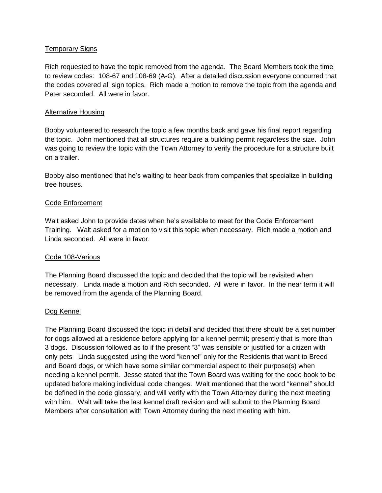# Temporary Signs

Rich requested to have the topic removed from the agenda. The Board Members took the time to review codes: 108-67 and 108-69 (A-G). After a detailed discussion everyone concurred that the codes covered all sign topics. Rich made a motion to remove the topic from the agenda and Peter seconded. All were in favor.

# Alternative Housing

Bobby volunteered to research the topic a few months back and gave his final report regarding the topic. John mentioned that all structures require a building permit regardless the size. John was going to review the topic with the Town Attorney to verify the procedure for a structure built on a trailer.

Bobby also mentioned that he's waiting to hear back from companies that specialize in building tree houses.

# Code Enforcement

Walt asked John to provide dates when he's available to meet for the Code Enforcement Training. Walt asked for a motion to visit this topic when necessary. Rich made a motion and Linda seconded. All were in favor.

# Code 108-Various

The Planning Board discussed the topic and decided that the topic will be revisited when necessary. Linda made a motion and Rich seconded. All were in favor. In the near term it will be removed from the agenda of the Planning Board.

# Dog Kennel

The Planning Board discussed the topic in detail and decided that there should be a set number for dogs allowed at a residence before applying for a kennel permit; presently that is more than 3 dogs. Discussion followed as to if the present "3" was sensible or justified for a citizen with only pets Linda suggested using the word "kennel" only for the Residents that want to Breed and Board dogs, or which have some similar commercial aspect to their purpose(s) when needing a kennel permit. Jesse stated that the Town Board was waiting for the code book to be updated before making individual code changes. Walt mentioned that the word "kennel" should be defined in the code glossary, and will verify with the Town Attorney during the next meeting with him. Walt will take the last kennel draft revision and will submit to the Planning Board Members after consultation with Town Attorney during the next meeting with him.